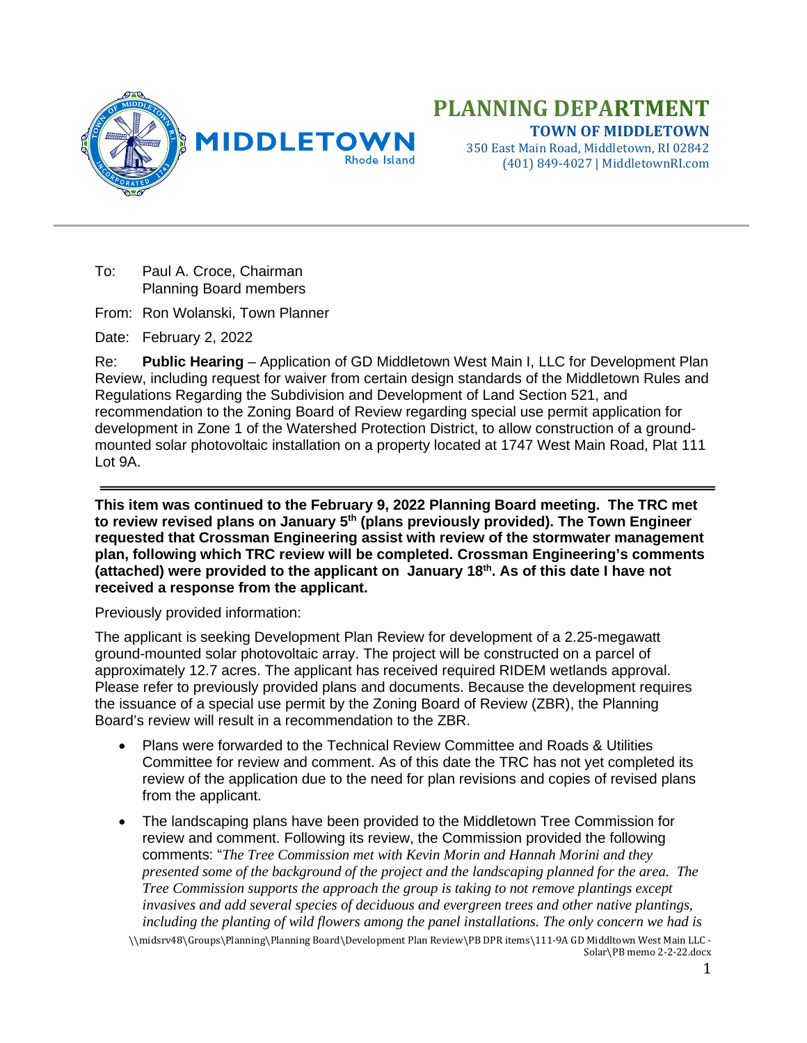

(401) 849-4027 | MiddletownRI.com

To: Paul A. Croce, Chairman Planning Board members

From: Ron Wolanski, Town Planner

Date: February 2, 2022

Re: **Public Hearing** – Application of GD Middletown West Main I, LLC for Development Plan Review, including request for waiver from certain design standards of the Middletown Rules and Regulations Regarding the Subdivision and Development of Land Section 521, and recommendation to the Zoning Board of Review regarding special use permit application for development in Zone 1 of the Watershed Protection District, to allow construction of a groundmounted solar photovoltaic installation on a property located at 1747 West Main Road, Plat 111 Lot 9A.

**This item was continued to the February 9, 2022 Planning Board meeting. The TRC met to review revised plans on January 5th (plans previously provided). The Town Engineer requested that Crossman Engineering assist with review of the stormwater management plan, following which TRC review will be completed. Crossman Engineering's comments (attached) were provided to the applicant on January 18th. As of this date I have not received a response from the applicant.**

Previously provided information:

The applicant is seeking Development Plan Review for development of a 2.25-megawatt ground-mounted solar photovoltaic array. The project will be constructed on a parcel of approximately 12.7 acres. The applicant has received required RIDEM wetlands approval. Please refer to previously provided plans and documents. Because the development requires the issuance of a special use permit by the Zoning Board of Review (ZBR), the Planning Board's review will result in a recommendation to the ZBR.

- Plans were forwarded to the Technical Review Committee and Roads & Utilities Committee for review and comment. As of this date the TRC has not yet completed its review of the application due to the need for plan revisions and copies of revised plans from the applicant.
- The landscaping plans have been provided to the Middletown Tree Commission for review and comment. Following its review, the Commission provided the following comments: "*The Tree Commission met with Kevin Morin and Hannah Morini and they presented some of the background of the project and the landscaping planned for the area. The Tree Commission supports the approach the group is taking to not remove plantings except invasives and add several species of deciduous and evergreen trees and other native plantings, including the planting of wild flowers among the panel installations. The only concern we had is*

\\midsrv48\Groups\Planning\Planning Board\Development Plan Review\PB DPR items\111-9A GD Middltown West Main LLC - Solar\PB memo 2-2-22.docx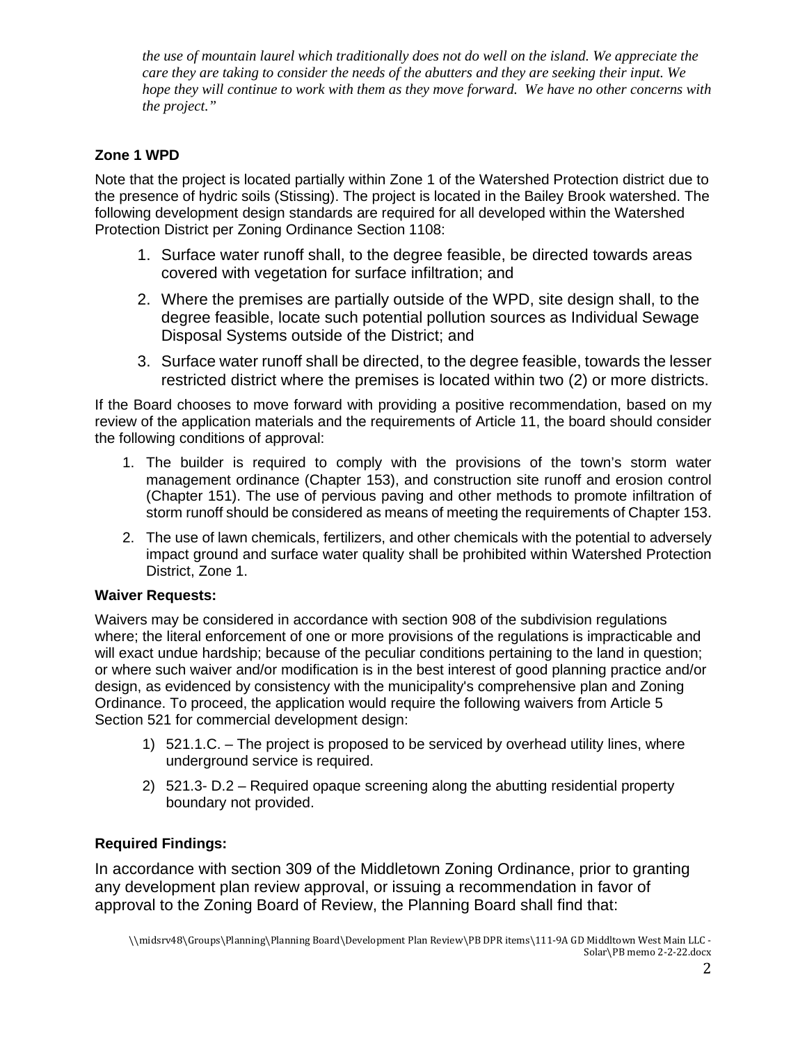*the use of mountain laurel which traditionally does not do well on the island. We appreciate the care they are taking to consider the needs of the abutters and they are seeking their input. We hope they will continue to work with them as they move forward. We have no other concerns with the project."*

## **Zone 1 WPD**

Note that the project is located partially within Zone 1 of the Watershed Protection district due to the presence of hydric soils (Stissing). The project is located in the Bailey Brook watershed. The following development design standards are required for all developed within the Watershed Protection District per Zoning Ordinance Section 1108:

- 1. Surface water runoff shall, to the degree feasible, be directed towards areas covered with vegetation for surface infiltration; and
- 2. Where the premises are partially outside of the WPD, site design shall, to the degree feasible, locate such potential pollution sources as Individual Sewage Disposal Systems outside of the District; and
- 3. Surface water runoff shall be directed, to the degree feasible, towards the lesser restricted district where the premises is located within two (2) or more districts.

If the Board chooses to move forward with providing a positive recommendation, based on my review of the application materials and the requirements of Article 11, the board should consider the following conditions of approval:

- 1. The builder is required to comply with the provisions of the town's storm water management ordinance (Chapter 153), and construction site runoff and erosion control (Chapter 151). The use of pervious paving and other methods to promote infiltration of storm runoff should be considered as means of meeting the requirements of Chapter 153.
- 2. The use of lawn chemicals, fertilizers, and other chemicals with the potential to adversely impact ground and surface water quality shall be prohibited within Watershed Protection District, Zone 1.

## **Waiver Requests:**

Waivers may be considered in accordance with section 908 of the subdivision regulations where; the literal enforcement of one or more provisions of the regulations is impracticable and will exact undue hardship; because of the peculiar conditions pertaining to the land in question; or where such waiver and/or modification is in the best interest of good planning practice and/or design, as evidenced by consistency with the municipality's comprehensive plan and Zoning Ordinance. To proceed, the application would require the following waivers from Article 5 Section 521 for commercial development design:

- 1) 521.1.C. The project is proposed to be serviced by overhead utility lines, where underground service is required.
- 2) 521.3- D.2 Required opaque screening along the abutting residential property boundary not provided.

## **Required Findings:**

In accordance with section 309 of the Middletown Zoning Ordinance, prior to granting any development plan review approval, or issuing a recommendation in favor of approval to the Zoning Board of Review, the Planning Board shall find that: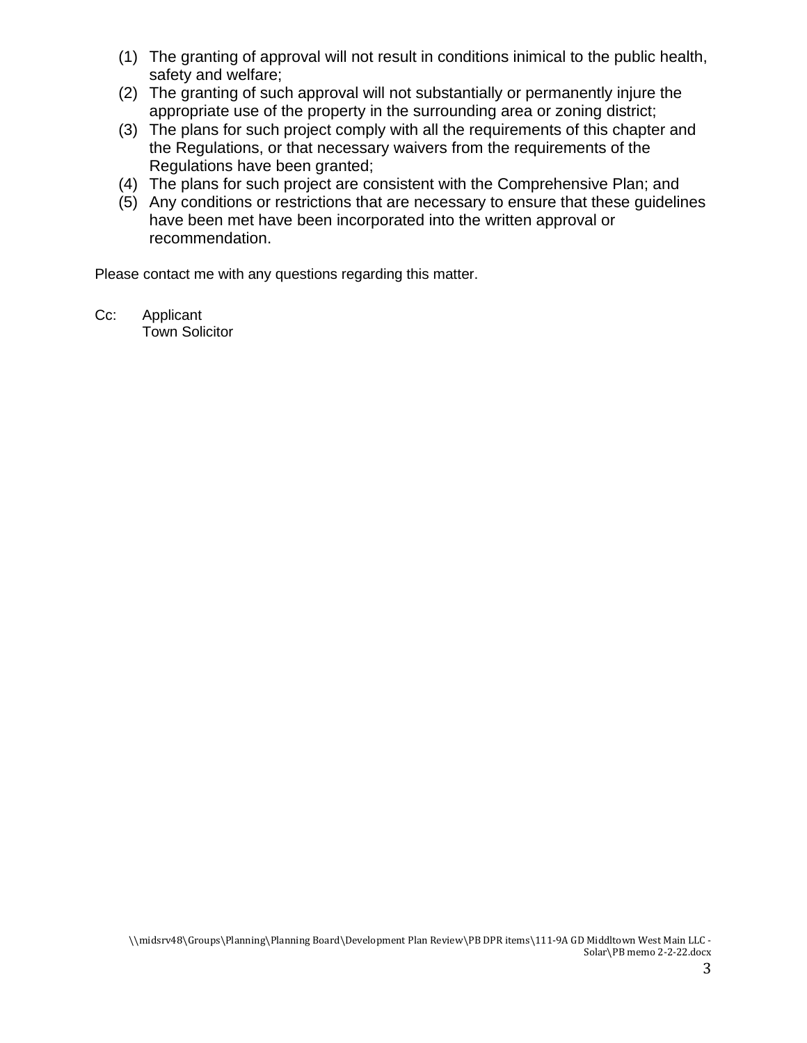- (1) The granting of approval will not result in conditions inimical to the public health, safety and welfare;
- (2) The granting of such approval will not substantially or permanently injure the appropriate use of the property in the surrounding area or zoning district;
- (3) The plans for such project comply with all the requirements of this chapter and the Regulations, or that necessary waivers from the requirements of the Regulations have been granted;
- (4) The plans for such project are consistent with the Comprehensive Plan; and
- (5) Any conditions or restrictions that are necessary to ensure that these guidelines have been met have been incorporated into the written approval or recommendation.

Please contact me with any questions regarding this matter.

Cc: Applicant Town Solicitor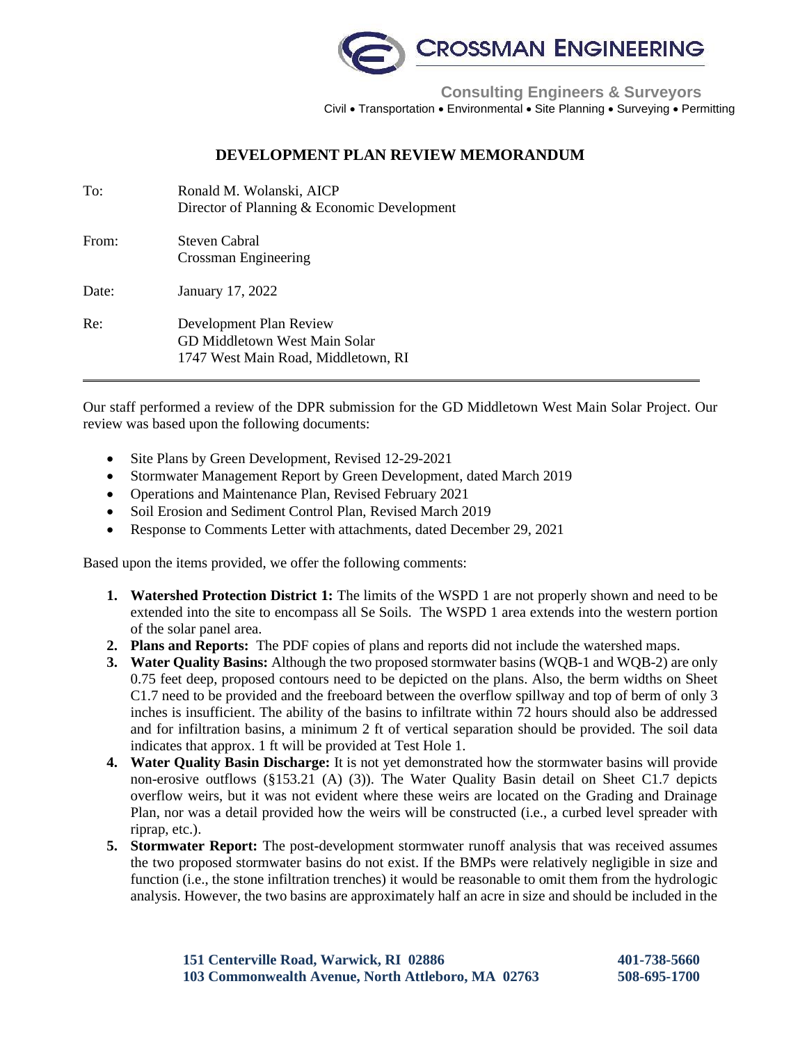

 **Consulting Engineers & Surveyors** Civil • Transportation • Environmental • Site Planning • Surveying • Permitting

## **DEVELOPMENT PLAN REVIEW MEMORANDUM**

| To:   | Ronald M. Wolanski, AICP<br>Director of Planning & Economic Development                         |
|-------|-------------------------------------------------------------------------------------------------|
| From: | Steven Cabral<br>Crossman Engineering                                                           |
| Date: | January 17, 2022                                                                                |
| Re:   | Development Plan Review<br>GD Middletown West Main Solar<br>1747 West Main Road, Middletown, RI |

Our staff performed a review of the DPR submission for the GD Middletown West Main Solar Project. Our review was based upon the following documents:

- Site Plans by Green Development, Revised 12-29-2021
- Stormwater Management Report by Green Development, dated March 2019
- Operations and Maintenance Plan, Revised February 2021
- Soil Erosion and Sediment Control Plan, Revised March 2019
- Response to Comments Letter with attachments, dated December 29, 2021

Based upon the items provided, we offer the following comments:

- **1. Watershed Protection District 1:** The limits of the WSPD 1 are not properly shown and need to be extended into the site to encompass all Se Soils. The WSPD 1 area extends into the western portion of the solar panel area.
- **2. Plans and Reports:** The PDF copies of plans and reports did not include the watershed maps.
- **3. Water Quality Basins:** Although the two proposed stormwater basins (WQB-1 and WQB-2) are only 0.75 feet deep, proposed contours need to be depicted on the plans. Also, the berm widths on Sheet C1.7 need to be provided and the freeboard between the overflow spillway and top of berm of only 3 inches is insufficient. The ability of the basins to infiltrate within 72 hours should also be addressed and for infiltration basins, a minimum 2 ft of vertical separation should be provided. The soil data indicates that approx. 1 ft will be provided at Test Hole 1.
- **4. Water Quality Basin Discharge:** It is not yet demonstrated how the stormwater basins will provide non-erosive outflows (§153.21 (A) (3)). The Water Quality Basin detail on Sheet C1.7 depicts overflow weirs, but it was not evident where these weirs are located on the Grading and Drainage Plan, nor was a detail provided how the weirs will be constructed (i.e., a curbed level spreader with riprap, etc.).
- **5. Stormwater Report:** The post-development stormwater runoff analysis that was received assumes the two proposed stormwater basins do not exist. If the BMPs were relatively negligible in size and function (i.e., the stone infiltration trenches) it would be reasonable to omit them from the hydrologic analysis. However, the two basins are approximately half an acre in size and should be included in the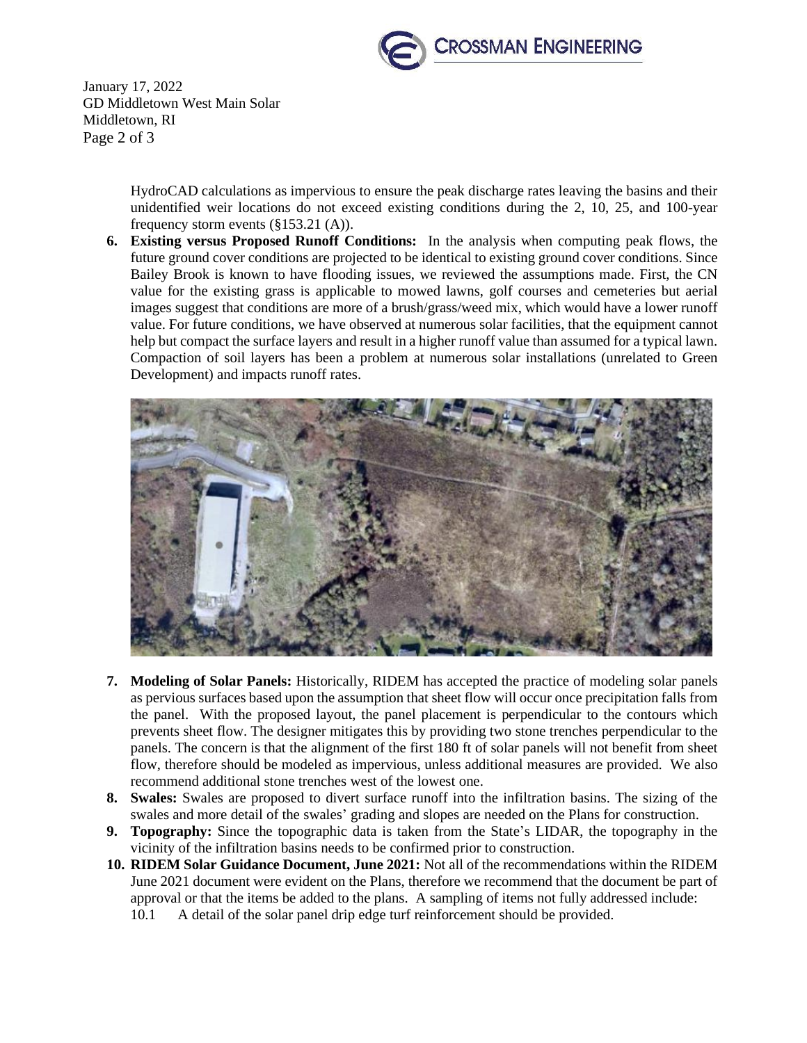

January 17, 2022 GD Middletown West Main Solar Middletown, RI Page 2 of 3

> HydroCAD calculations as impervious to ensure the peak discharge rates leaving the basins and their unidentified weir locations do not exceed existing conditions during the 2, 10, 25, and 100-year frequency storm events (§153.21 (A)).

**6. Existing versus Proposed Runoff Conditions:** In the analysis when computing peak flows, the future ground cover conditions are projected to be identical to existing ground cover conditions. Since Bailey Brook is known to have flooding issues, we reviewed the assumptions made. First, the CN value for the existing grass is applicable to mowed lawns, golf courses and cemeteries but aerial images suggest that conditions are more of a brush/grass/weed mix, which would have a lower runoff value. For future conditions, we have observed at numerous solar facilities, that the equipment cannot help but compact the surface layers and result in a higher runoff value than assumed for a typical lawn. Compaction of soil layers has been a problem at numerous solar installations (unrelated to Green Development) and impacts runoff rates.



- **7. Modeling of Solar Panels:** Historically, RIDEM has accepted the practice of modeling solar panels as pervious surfaces based upon the assumption that sheet flow will occur once precipitation falls from the panel. With the proposed layout, the panel placement is perpendicular to the contours which prevents sheet flow. The designer mitigates this by providing two stone trenches perpendicular to the panels. The concern is that the alignment of the first 180 ft of solar panels will not benefit from sheet flow, therefore should be modeled as impervious, unless additional measures are provided. We also recommend additional stone trenches west of the lowest one.
- **8. Swales:** Swales are proposed to divert surface runoff into the infiltration basins. The sizing of the swales and more detail of the swales' grading and slopes are needed on the Plans for construction.
- **9. Topography:** Since the topographic data is taken from the State's LIDAR, the topography in the vicinity of the infiltration basins needs to be confirmed prior to construction.
- **10. RIDEM Solar Guidance Document, June 2021:** Not all of the recommendations within the RIDEM June 2021 document were evident on the Plans, therefore we recommend that the document be part of approval or that the items be added to the plans. A sampling of items not fully addressed include:
	- 10.1 A detail of the solar panel drip edge turf reinforcement should be provided.